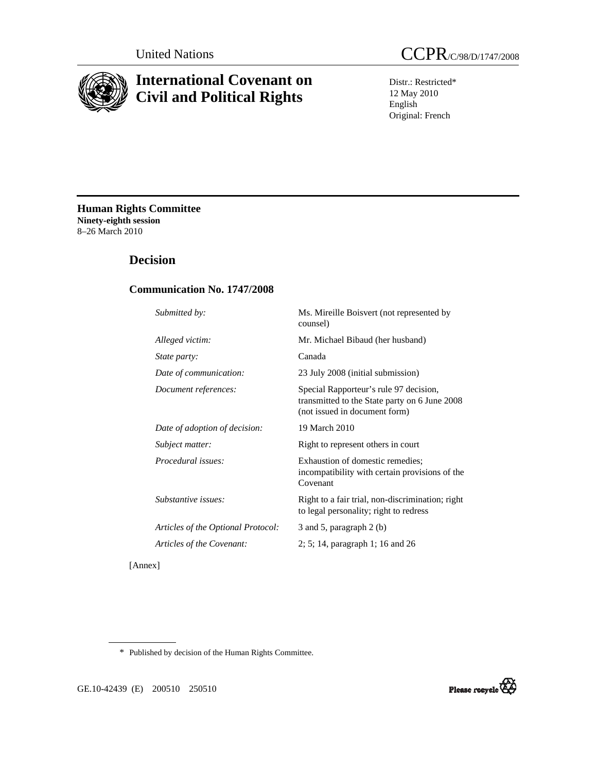

# **International Covenant on Civil and Political Rights**

Distr.: Restricted\* 12 May 2010 English Original: French

**Human Rights Committee Ninety-eighth session**  8–26 March 2010

# **Decision**

# **Communication No. 1747/2008**

| Submitted by:                      | Ms. Mireille Boisvert (not represented by<br>counsel)                                                                    |
|------------------------------------|--------------------------------------------------------------------------------------------------------------------------|
| Alleged victim:                    | Mr. Michael Bibaud (her husband)                                                                                         |
| <i>State party:</i>                | Canada                                                                                                                   |
| Date of communication:             | 23 July 2008 (initial submission)                                                                                        |
| Document references:               | Special Rapporteur's rule 97 decision,<br>transmitted to the State party on 6 June 2008<br>(not issued in document form) |
| Date of adoption of decision:      | 19 March 2010                                                                                                            |
| Subject matter:                    | Right to represent others in court                                                                                       |
| <i>Procedural issues:</i>          | Exhaustion of domestic remedies;<br>incompatibility with certain provisions of the<br>Covenant                           |
| Substantive issues:                | Right to a fair trial, non-discrimination; right<br>to legal personality; right to redress                               |
| Articles of the Optional Protocol: | 3 and 5, paragraph $2(b)$                                                                                                |
| Articles of the Covenant:          | $2; 5; 14$ , paragraph 1; 16 and 26                                                                                      |
|                                    |                                                                                                                          |

[Annex]

\* Published by decision of the Human Rights Committee.



GE.10-42439 (E) 200510 250510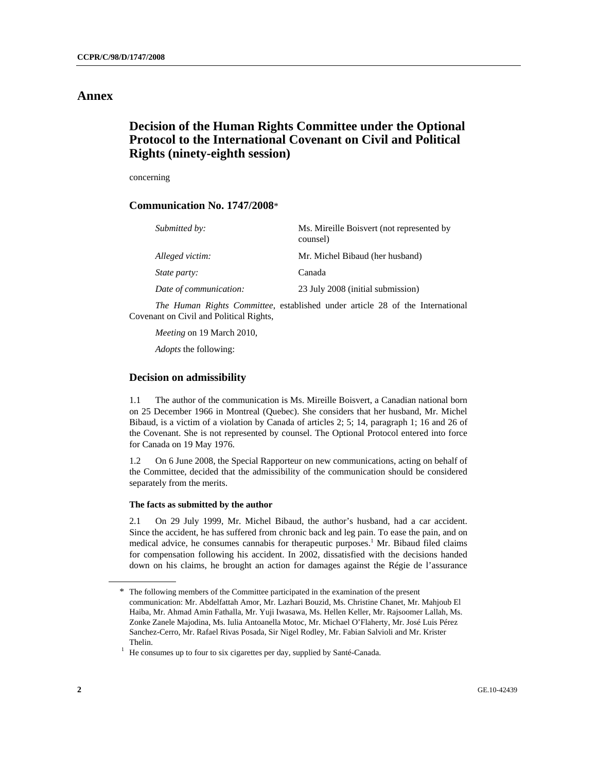# **Annex**

# **Decision of the Human Rights Committee under the Optional Protocol to the International Covenant on Civil and Political Rights (ninety-eighth session)**

concerning

## **Communication No. 1747/2008**\*

| Submitted by:          | Ms. Mireille Boisvert (not represented by<br>counsel) |
|------------------------|-------------------------------------------------------|
| Alleged victim:        | Mr. Michel Bibaud (her husband)                       |
| <i>State party:</i>    | Canada                                                |
| Date of communication: | 23 July 2008 (initial submission)                     |

 *The Human Rights Committee*, established under article 28 of the International Covenant on Civil and Political Rights,

*Meeting* on 19 March 2010,

*Adopts* the following:

## **Decision on admissibility**

1.1 The author of the communication is Ms. Mireille Boisvert, a Canadian national born on 25 December 1966 in Montreal (Quebec). She considers that her husband, Mr. Michel Bibaud, is a victim of a violation by Canada of articles 2; 5; 14, paragraph 1; 16 and 26 of the Covenant. She is not represented by counsel. The Optional Protocol entered into force for Canada on 19 May 1976.

1.2 On 6 June 2008, the Special Rapporteur on new communications, acting on behalf of the Committee, decided that the admissibility of the communication should be considered separately from the merits.

### **The facts as submitted by the author**

2.1 On 29 July 1999, Mr. Michel Bibaud, the author's husband, had a car accident. Since the accident, he has suffered from chronic back and leg pain. To ease the pain, and on medical advice, he consumes cannabis for therapeutic purposes.<sup>1</sup> Mr. Bibaud filed claims for compensation following his accident. In 2002, dissatisfied with the decisions handed down on his claims, he brought an action for damages against the Régie de l'assurance

<sup>\*</sup> The following members of the Committee participated in the examination of the present communication: Mr. Abdelfattah Amor, Mr. Lazhari Bouzid, Ms. Christine Chanet, Mr. Mahjoub El Haiba, Mr. Ahmad Amin Fathalla, Mr. Yuji Iwasawa, Ms. Hellen Keller, Mr. Rajsoomer Lallah, Ms. Zonke Zanele Majodina, Ms. Iulia Antoanella Motoc, Mr. Michael O'Flaherty, Mr. José Luis Pérez Sanchez-Cerro, Mr. Rafael Rivas Posada, Sir Nigel Rodley, Mr. Fabian Salvioli and Mr. Krister Thelin.<br><sup>1</sup> He consumes up to four to six cigarettes per day, supplied by Santé-Canada.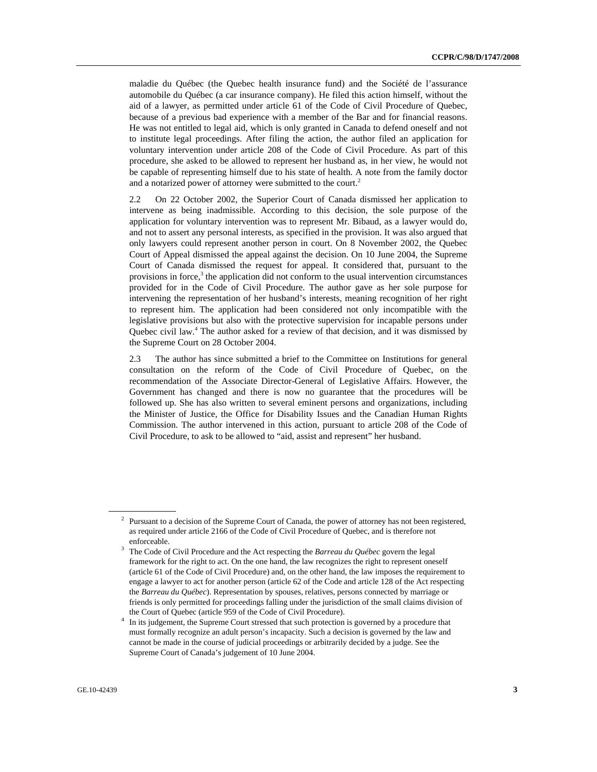maladie du Québec (the Quebec health insurance fund) and the Société de l'assurance automobile du Québec (a car insurance company). He filed this action himself, without the aid of a lawyer, as permitted under article 61 of the Code of Civil Procedure of Quebec, because of a previous bad experience with a member of the Bar and for financial reasons. He was not entitled to legal aid, which is only granted in Canada to defend oneself and not to institute legal proceedings. After filing the action, the author filed an application for voluntary intervention under article 208 of the Code of Civil Procedure. As part of this procedure, she asked to be allowed to represent her husband as, in her view, he would not be capable of representing himself due to his state of health. A note from the family doctor and a notarized power of attorney were submitted to the court.<sup>2</sup>

2.2 On 22 October 2002, the Superior Court of Canada dismissed her application to intervene as being inadmissible. According to this decision, the sole purpose of the application for voluntary intervention was to represent Mr. Bibaud, as a lawyer would do, and not to assert any personal interests, as specified in the provision. It was also argued that only lawyers could represent another person in court. On 8 November 2002, the Quebec Court of Appeal dismissed the appeal against the decision. On 10 June 2004, the Supreme Court of Canada dismissed the request for appeal. It considered that, pursuant to the provisions in force,<sup>3</sup> the application did not conform to the usual intervention circumstances provided for in the Code of Civil Procedure. The author gave as her sole purpose for intervening the representation of her husband's interests, meaning recognition of her right to represent him. The application had been considered not only incompatible with the legislative provisions but also with the protective supervision for incapable persons under Quebec civil law.<sup>4</sup> The author asked for a review of that decision, and it was dismissed by the Supreme Court on 28 October 2004.

2.3 The author has since submitted a brief to the Committee on Institutions for general consultation on the reform of the Code of Civil Procedure of Quebec, on the recommendation of the Associate Director-General of Legislative Affairs. However, the Government has changed and there is now no guarantee that the procedures will be followed up. She has also written to several eminent persons and organizations, including the Minister of Justice, the Office for Disability Issues and the Canadian Human Rights Commission. The author intervened in this action, pursuant to article 208 of the Code of Civil Procedure, to ask to be allowed to "aid, assist and represent" her husband.

 $2$  Pursuant to a decision of the Supreme Court of Canada, the power of attorney has not been registered, as required under article 2166 of the Code of Civil Procedure of Quebec, and is therefore not enforceable.

The Code of Civil Procedure and the Act respecting the *Barreau du Québec* govern the legal framework for the right to act. On the one hand, the law recognizes the right to represent oneself (article 61 of the Code of Civil Procedure) and, on the other hand, the law imposes the requirement to engage a lawyer to act for another person (article 62 of the Code and article 128 of the Act respecting the *Barreau du Québec*). Representation by spouses, relatives, persons connected by marriage or friends is only permitted for proceedings falling under the jurisdiction of the small claims division of the Court of Quebec (article 959 of the Code of Civil Procedure). 4

<sup>&</sup>lt;sup>4</sup> In its judgement, the Supreme Court stressed that such protection is governed by a procedure that must formally recognize an adult person's incapacity. Such a decision is governed by the law and cannot be made in the course of judicial proceedings or arbitrarily decided by a judge. See the Supreme Court of Canada's judgement of 10 June 2004.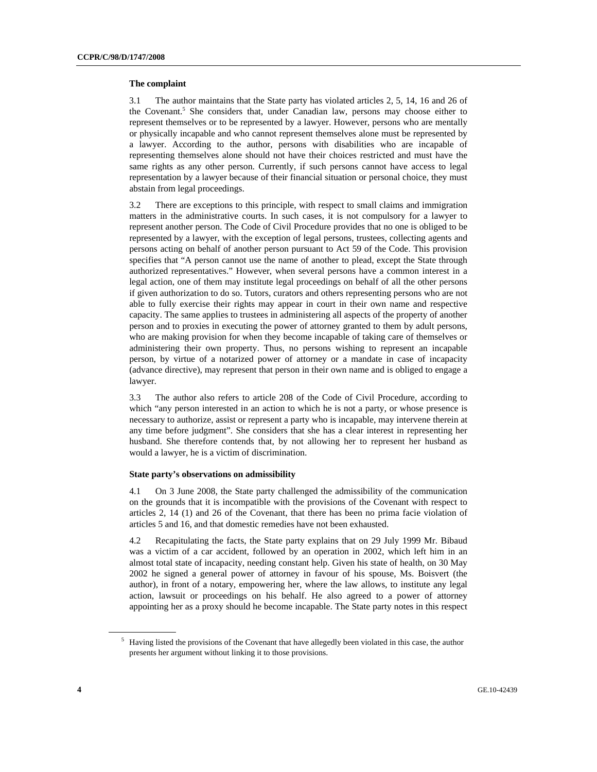#### **The complaint**

3.1 The author maintains that the State party has violated articles 2, 5, 14, 16 and 26 of the Covenant.<sup>5</sup> She considers that, under Canadian law, persons may choose either to represent themselves or to be represented by a lawyer. However, persons who are mentally or physically incapable and who cannot represent themselves alone must be represented by a lawyer. According to the author, persons with disabilities who are incapable of representing themselves alone should not have their choices restricted and must have the same rights as any other person. Currently, if such persons cannot have access to legal representation by a lawyer because of their financial situation or personal choice, they must abstain from legal proceedings.

3.2 There are exceptions to this principle, with respect to small claims and immigration matters in the administrative courts. In such cases, it is not compulsory for a lawyer to represent another person. The Code of Civil Procedure provides that no one is obliged to be represented by a lawyer, with the exception of legal persons, trustees, collecting agents and persons acting on behalf of another person pursuant to Act 59 of the Code. This provision specifies that "A person cannot use the name of another to plead, except the State through authorized representatives." However, when several persons have a common interest in a legal action, one of them may institute legal proceedings on behalf of all the other persons if given authorization to do so. Tutors, curators and others representing persons who are not able to fully exercise their rights may appear in court in their own name and respective capacity. The same applies to trustees in administering all aspects of the property of another person and to proxies in executing the power of attorney granted to them by adult persons, who are making provision for when they become incapable of taking care of themselves or administering their own property. Thus, no persons wishing to represent an incapable person, by virtue of a notarized power of attorney or a mandate in case of incapacity (advance directive), may represent that person in their own name and is obliged to engage a lawyer.

3.3 The author also refers to article 208 of the Code of Civil Procedure, according to which "any person interested in an action to which he is not a party, or whose presence is necessary to authorize, assist or represent a party who is incapable, may intervene therein at any time before judgment". She considers that she has a clear interest in representing her husband. She therefore contends that, by not allowing her to represent her husband as would a lawyer, he is a victim of discrimination.

#### **State party's observations on admissibility**

4.1 On 3 June 2008, the State party challenged the admissibility of the communication on the grounds that it is incompatible with the provisions of the Covenant with respect to articles 2, 14 (1) and 26 of the Covenant, that there has been no prima facie violation of articles 5 and 16, and that domestic remedies have not been exhausted.

4.2 Recapitulating the facts, the State party explains that on 29 July 1999 Mr. Bibaud was a victim of a car accident, followed by an operation in 2002, which left him in an almost total state of incapacity, needing constant help. Given his state of health, on 30 May 2002 he signed a general power of attorney in favour of his spouse, Ms. Boisvert (the author), in front of a notary, empowering her, where the law allows, to institute any legal action, lawsuit or proceedings on his behalf. He also agreed to a power of attorney appointing her as a proxy should he become incapable. The State party notes in this respect

<sup>&</sup>lt;sup>5</sup> Having listed the provisions of the Covenant that have allegedly been violated in this case, the author presents her argument without linking it to those provisions.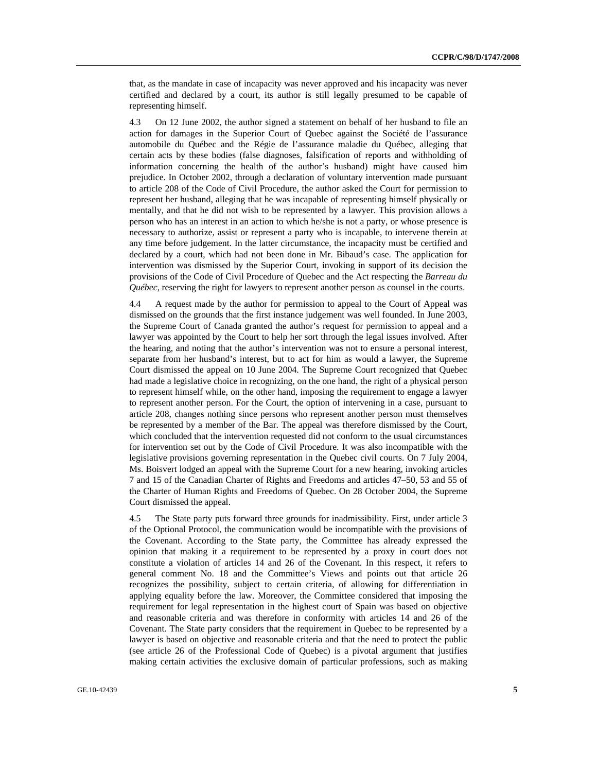that, as the mandate in case of incapacity was never approved and his incapacity was never certified and declared by a court, its author is still legally presumed to be capable of representing himself.

4.3 On 12 June 2002, the author signed a statement on behalf of her husband to file an action for damages in the Superior Court of Quebec against the Société de l'assurance automobile du Québec and the Régie de l'assurance maladie du Québec, alleging that certain acts by these bodies (false diagnoses, falsification of reports and withholding of information concerning the health of the author's husband) might have caused him prejudice. In October 2002, through a declaration of voluntary intervention made pursuant to article 208 of the Code of Civil Procedure, the author asked the Court for permission to represent her husband, alleging that he was incapable of representing himself physically or mentally, and that he did not wish to be represented by a lawyer. This provision allows a person who has an interest in an action to which he/she is not a party, or whose presence is necessary to authorize, assist or represent a party who is incapable, to intervene therein at any time before judgement. In the latter circumstance, the incapacity must be certified and declared by a court, which had not been done in Mr. Bibaud's case. The application for intervention was dismissed by the Superior Court, invoking in support of its decision the provisions of the Code of Civil Procedure of Quebec and the Act respecting the *Barreau du Québec*, reserving the right for lawyers to represent another person as counsel in the courts.

4.4 A request made by the author for permission to appeal to the Court of Appeal was dismissed on the grounds that the first instance judgement was well founded. In June 2003, the Supreme Court of Canada granted the author's request for permission to appeal and a lawyer was appointed by the Court to help her sort through the legal issues involved. After the hearing, and noting that the author's intervention was not to ensure a personal interest, separate from her husband's interest, but to act for him as would a lawyer, the Supreme Court dismissed the appeal on 10 June 2004. The Supreme Court recognized that Quebec had made a legislative choice in recognizing, on the one hand, the right of a physical person to represent himself while, on the other hand, imposing the requirement to engage a lawyer to represent another person. For the Court, the option of intervening in a case, pursuant to article 208, changes nothing since persons who represent another person must themselves be represented by a member of the Bar. The appeal was therefore dismissed by the Court, which concluded that the intervention requested did not conform to the usual circumstances for intervention set out by the Code of Civil Procedure. It was also incompatible with the legislative provisions governing representation in the Quebec civil courts. On 7 July 2004, Ms. Boisvert lodged an appeal with the Supreme Court for a new hearing, invoking articles 7 and 15 of the Canadian Charter of Rights and Freedoms and articles 47–50, 53 and 55 of the Charter of Human Rights and Freedoms of Quebec. On 28 October 2004, the Supreme Court dismissed the appeal.

4.5 The State party puts forward three grounds for inadmissibility. First, under article 3 of the Optional Protocol, the communication would be incompatible with the provisions of the Covenant. According to the State party, the Committee has already expressed the opinion that making it a requirement to be represented by a proxy in court does not constitute a violation of articles 14 and 26 of the Covenant. In this respect, it refers to general comment No. 18 and the Committee's Views and points out that article 26 recognizes the possibility, subject to certain criteria, of allowing for differentiation in applying equality before the law. Moreover, the Committee considered that imposing the requirement for legal representation in the highest court of Spain was based on objective and reasonable criteria and was therefore in conformity with articles 14 and 26 of the Covenant. The State party considers that the requirement in Quebec to be represented by a lawyer is based on objective and reasonable criteria and that the need to protect the public (see article 26 of the Professional Code of Quebec) is a pivotal argument that justifies making certain activities the exclusive domain of particular professions, such as making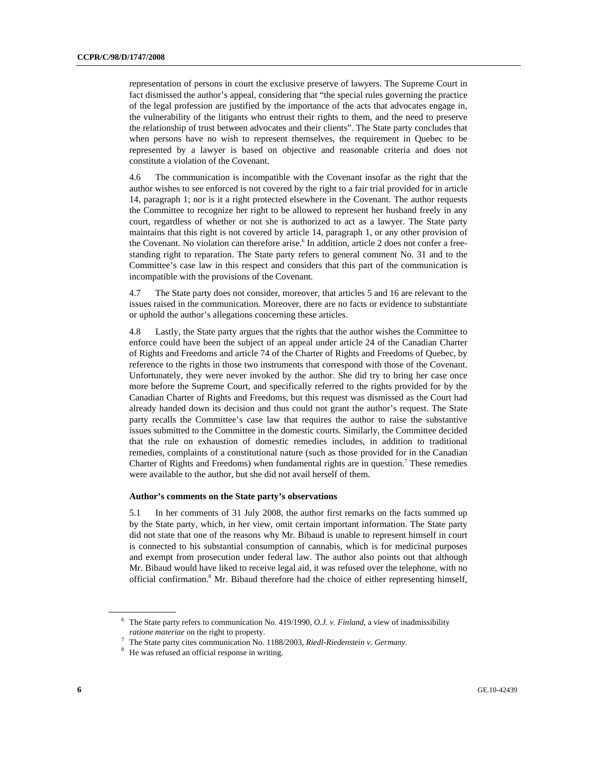representation of persons in court the exclusive preserve of lawyers. The Supreme Court in fact dismissed the author's appeal, considering that "the special rules governing the practice of the legal profession are justified by the importance of the acts that advocates engage in, the vulnerability of the litigants who entrust their rights to them, and the need to preserve the relationship of trust between advocates and their clients". The State party concludes that when persons have no wish to represent themselves, the requirement in Quebec to be represented by a lawyer is based on objective and reasonable criteria and does not constitute a violation of the Covenant.

4.6 The communication is incompatible with the Covenant insofar as the right that the author wishes to see enforced is not covered by the right to a fair trial provided for in article 14, paragraph 1; nor is it a right protected elsewhere in the Covenant. The author requests the Committee to recognize her right to be allowed to represent her husband freely in any court, regardless of whether or not she is authorized to act as a lawyer. The State party maintains that this right is not covered by article 14, paragraph 1, or any other provision of the Covenant. No violation can therefore arise.<sup>6</sup> In addition, article 2 does not confer a freestanding right to reparation. The State party refers to general comment No. 31 and to the Committee's case law in this respect and considers that this part of the communication is incompatible with the provisions of the Covenant.

4.7 The State party does not consider, moreover, that articles 5 and 16 are relevant to the issues raised in the communication. Moreover, there are no facts or evidence to substantiate or uphold the author's allegations concerning these articles.

4.8 Lastly, the State party argues that the rights that the author wishes the Committee to enforce could have been the subject of an appeal under article 24 of the Canadian Charter of Rights and Freedoms and article 74 of the Charter of Rights and Freedoms of Quebec, by reference to the rights in those two instruments that correspond with those of the Covenant. Unfortunately, they were never invoked by the author. She did try to bring her case once more before the Supreme Court, and specifically referred to the rights provided for by the Canadian Charter of Rights and Freedoms, but this request was dismissed as the Court had already handed down its decision and thus could not grant the author's request. The State party recalls the Committee's case law that requires the author to raise the substantive issues submitted to the Committee in the domestic courts. Similarly, the Committee decided that the rule on exhaustion of domestic remedies includes, in addition to traditional remedies, complaints of a constitutional nature (such as those provided for in the Canadian Charter of Rights and Freedoms) when fundamental rights are in question.<sup>7</sup> These remedies were available to the author, but she did not avail herself of them.

#### **Author's comments on the State party's observations**

5.1 In her comments of 31 July 2008, the author first remarks on the facts summed up by the State party, which, in her view, omit certain important information. The State party did not state that one of the reasons why Mr. Bibaud is unable to represent himself in court is connected to his substantial consumption of cannabis, which is for medicinal purposes and exempt from prosecution under federal law. The author also points out that although Mr. Bibaud would have liked to receive legal aid, it was refused over the telephone, with no official confirmation.<sup>8</sup> Mr. Bibaud therefore had the choice of either representing himself,

<sup>6</sup> The State party refers to communication No. 419/1990, *O.J. v. Finland*, a view of inadmissibility *ratione materiae* on the right to property.<br><sup>7</sup> The State party sites communication No.

The State party cites communication No. 1188/2003, *Riedl-Riedenstein v. Germany.*  $\frac{8}{10}$  Ho was refused an official response in writing

<sup>&</sup>lt;sup>8</sup> He was refused an official response in writing.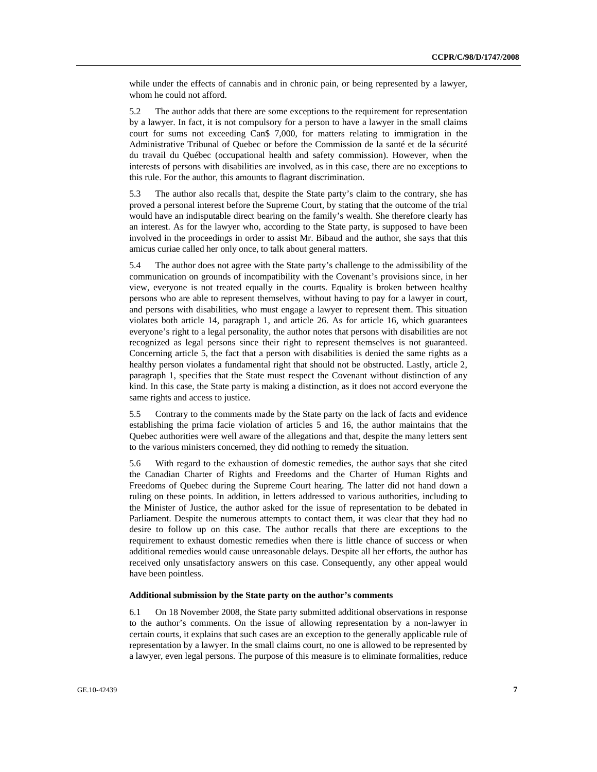while under the effects of cannabis and in chronic pain, or being represented by a lawyer, whom he could not afford.

5.2 The author adds that there are some exceptions to the requirement for representation by a lawyer. In fact, it is not compulsory for a person to have a lawyer in the small claims court for sums not exceeding Can\$ 7,000, for matters relating to immigration in the Administrative Tribunal of Quebec or before the Commission de la santé et de la sécurité du travail du Québec (occupational health and safety commission). However, when the interests of persons with disabilities are involved, as in this case, there are no exceptions to this rule. For the author, this amounts to flagrant discrimination.

5.3 The author also recalls that, despite the State party's claim to the contrary, she has proved a personal interest before the Supreme Court, by stating that the outcome of the trial would have an indisputable direct bearing on the family's wealth. She therefore clearly has an interest. As for the lawyer who, according to the State party, is supposed to have been involved in the proceedings in order to assist Mr. Bibaud and the author, she says that this amicus curiae called her only once, to talk about general matters.

5.4 The author does not agree with the State party's challenge to the admissibility of the communication on grounds of incompatibility with the Covenant's provisions since, in her view, everyone is not treated equally in the courts. Equality is broken between healthy persons who are able to represent themselves, without having to pay for a lawyer in court, and persons with disabilities, who must engage a lawyer to represent them. This situation violates both article 14, paragraph 1, and article 26. As for article 16, which guarantees everyone's right to a legal personality, the author notes that persons with disabilities are not recognized as legal persons since their right to represent themselves is not guaranteed. Concerning article 5, the fact that a person with disabilities is denied the same rights as a healthy person violates a fundamental right that should not be obstructed. Lastly, article 2, paragraph 1, specifies that the State must respect the Covenant without distinction of any kind. In this case, the State party is making a distinction, as it does not accord everyone the same rights and access to justice.

5.5 Contrary to the comments made by the State party on the lack of facts and evidence establishing the prima facie violation of articles 5 and 16, the author maintains that the Quebec authorities were well aware of the allegations and that, despite the many letters sent to the various ministers concerned, they did nothing to remedy the situation.

5.6 With regard to the exhaustion of domestic remedies, the author says that she cited the Canadian Charter of Rights and Freedoms and the Charter of Human Rights and Freedoms of Quebec during the Supreme Court hearing. The latter did not hand down a ruling on these points. In addition, in letters addressed to various authorities, including to the Minister of Justice, the author asked for the issue of representation to be debated in Parliament. Despite the numerous attempts to contact them, it was clear that they had no desire to follow up on this case. The author recalls that there are exceptions to the requirement to exhaust domestic remedies when there is little chance of success or when additional remedies would cause unreasonable delays. Despite all her efforts, the author has received only unsatisfactory answers on this case. Consequently, any other appeal would have been pointless.

### **Additional submission by the State party on the author's comments**

6.1 On 18 November 2008, the State party submitted additional observations in response to the author's comments. On the issue of allowing representation by a non-lawyer in certain courts, it explains that such cases are an exception to the generally applicable rule of representation by a lawyer. In the small claims court, no one is allowed to be represented by a lawyer, even legal persons. The purpose of this measure is to eliminate formalities, reduce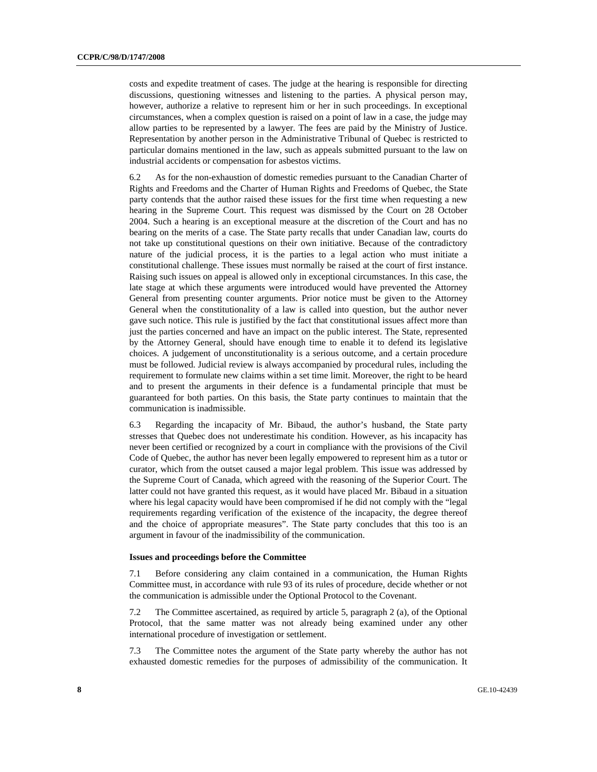costs and expedite treatment of cases. The judge at the hearing is responsible for directing discussions, questioning witnesses and listening to the parties. A physical person may, however, authorize a relative to represent him or her in such proceedings. In exceptional circumstances, when a complex question is raised on a point of law in a case, the judge may allow parties to be represented by a lawyer. The fees are paid by the Ministry of Justice. Representation by another person in the Administrative Tribunal of Quebec is restricted to particular domains mentioned in the law, such as appeals submitted pursuant to the law on industrial accidents or compensation for asbestos victims.

6.2 As for the non-exhaustion of domestic remedies pursuant to the Canadian Charter of Rights and Freedoms and the Charter of Human Rights and Freedoms of Quebec, the State party contends that the author raised these issues for the first time when requesting a new hearing in the Supreme Court. This request was dismissed by the Court on 28 October 2004. Such a hearing is an exceptional measure at the discretion of the Court and has no bearing on the merits of a case. The State party recalls that under Canadian law, courts do not take up constitutional questions on their own initiative. Because of the contradictory nature of the judicial process, it is the parties to a legal action who must initiate a constitutional challenge. These issues must normally be raised at the court of first instance. Raising such issues on appeal is allowed only in exceptional circumstances. In this case, the late stage at which these arguments were introduced would have prevented the Attorney General from presenting counter arguments. Prior notice must be given to the Attorney General when the constitutionality of a law is called into question, but the author never gave such notice. This rule is justified by the fact that constitutional issues affect more than just the parties concerned and have an impact on the public interest. The State, represented by the Attorney General, should have enough time to enable it to defend its legislative choices. A judgement of unconstitutionality is a serious outcome, and a certain procedure must be followed. Judicial review is always accompanied by procedural rules, including the requirement to formulate new claims within a set time limit. Moreover, the right to be heard and to present the arguments in their defence is a fundamental principle that must be guaranteed for both parties. On this basis, the State party continues to maintain that the communication is inadmissible.

6.3 Regarding the incapacity of Mr. Bibaud, the author's husband, the State party stresses that Quebec does not underestimate his condition. However, as his incapacity has never been certified or recognized by a court in compliance with the provisions of the Civil Code of Quebec, the author has never been legally empowered to represent him as a tutor or curator, which from the outset caused a major legal problem. This issue was addressed by the Supreme Court of Canada, which agreed with the reasoning of the Superior Court. The latter could not have granted this request, as it would have placed Mr. Bibaud in a situation where his legal capacity would have been compromised if he did not comply with the "legal requirements regarding verification of the existence of the incapacity, the degree thereof and the choice of appropriate measures". The State party concludes that this too is an argument in favour of the inadmissibility of the communication.

### **Issues and proceedings before the Committee**

7.1 Before considering any claim contained in a communication, the Human Rights Committee must, in accordance with rule 93 of its rules of procedure, decide whether or not the communication is admissible under the Optional Protocol to the Covenant.

7.2 The Committee ascertained, as required by article 5, paragraph 2 (a), of the Optional Protocol, that the same matter was not already being examined under any other international procedure of investigation or settlement.

7.3 The Committee notes the argument of the State party whereby the author has not exhausted domestic remedies for the purposes of admissibility of the communication. It